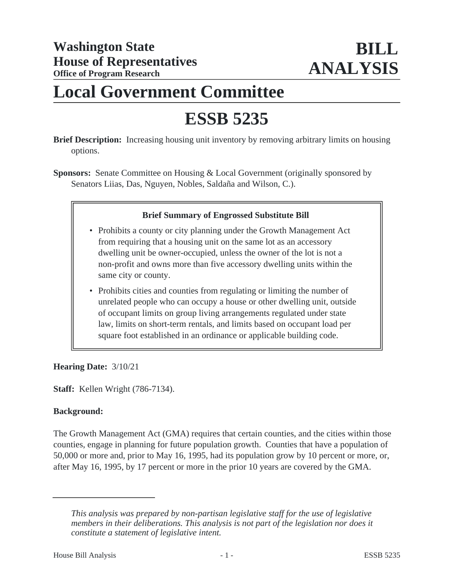# **Local Government Committee**

# **ESSB 5235**

**Brief Description:** Increasing housing unit inventory by removing arbitrary limits on housing options.

**Sponsors:** Senate Committee on Housing & Local Government (originally sponsored by Senators Liias, Das, Nguyen, Nobles, Saldaña and Wilson, C.).

#### **Brief Summary of Engrossed Substitute Bill**

- Prohibits a county or city planning under the Growth Management Act from requiring that a housing unit on the same lot as an accessory dwelling unit be owner-occupied, unless the owner of the lot is not a non-profit and owns more than five accessory dwelling units within the same city or county.
- Prohibits cities and counties from regulating or limiting the number of unrelated people who can occupy a house or other dwelling unit, outside of occupant limits on group living arrangements regulated under state law, limits on short-term rentals, and limits based on occupant load per square foot established in an ordinance or applicable building code.

#### **Hearing Date:** 3/10/21

**Staff:** Kellen Wright (786-7134).

## **Background:**

The Growth Management Act (GMA) requires that certain counties, and the cities within those counties, engage in planning for future population growth. Counties that have a population of 50,000 or more and, prior to May 16, 1995, had its population grow by 10 percent or more, or, after May 16, 1995, by 17 percent or more in the prior 10 years are covered by the GMA.

*This analysis was prepared by non-partisan legislative staff for the use of legislative members in their deliberations. This analysis is not part of the legislation nor does it constitute a statement of legislative intent.*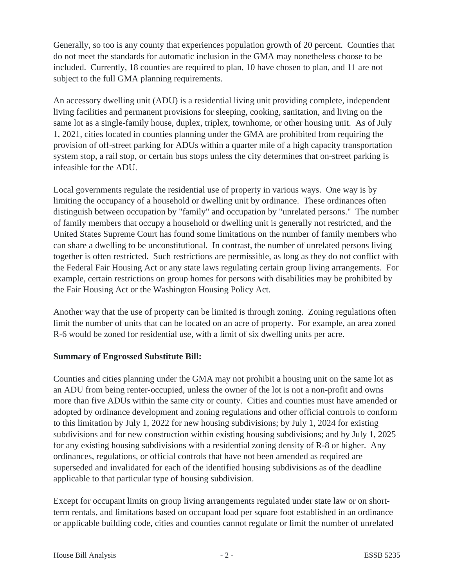Generally, so too is any county that experiences population growth of 20 percent. Counties that do not meet the standards for automatic inclusion in the GMA may nonetheless choose to be included. Currently, 18 counties are required to plan, 10 have chosen to plan, and 11 are not subject to the full GMA planning requirements.

An accessory dwelling unit (ADU) is a residential living unit providing complete, independent living facilities and permanent provisions for sleeping, cooking, sanitation, and living on the same lot as a single-family house, duplex, triplex, townhome, or other housing unit. As of July 1, 2021, cities located in counties planning under the GMA are prohibited from requiring the provision of off-street parking for ADUs within a quarter mile of a high capacity transportation system stop, a rail stop, or certain bus stops unless the city determines that on-street parking is infeasible for the ADU.

Local governments regulate the residential use of property in various ways. One way is by limiting the occupancy of a household or dwelling unit by ordinance. These ordinances often distinguish between occupation by "family" and occupation by "unrelated persons." The number of family members that occupy a household or dwelling unit is generally not restricted, and the United States Supreme Court has found some limitations on the number of family members who can share a dwelling to be unconstitutional. In contrast, the number of unrelated persons living together is often restricted. Such restrictions are permissible, as long as they do not conflict with the Federal Fair Housing Act or any state laws regulating certain group living arrangements. For example, certain restrictions on group homes for persons with disabilities may be prohibited by the Fair Housing Act or the Washington Housing Policy Act.

Another way that the use of property can be limited is through zoning. Zoning regulations often limit the number of units that can be located on an acre of property. For example, an area zoned R-6 would be zoned for residential use, with a limit of six dwelling units per acre.

## **Summary of Engrossed Substitute Bill:**

Counties and cities planning under the GMA may not prohibit a housing unit on the same lot as an ADU from being renter-occupied, unless the owner of the lot is not a non-profit and owns more than five ADUs within the same city or county. Cities and counties must have amended or adopted by ordinance development and zoning regulations and other official controls to conform to this limitation by July 1, 2022 for new housing subdivisions; by July 1, 2024 for existing subdivisions and for new construction within existing housing subdivisions; and by July 1, 2025 for any existing housing subdivisions with a residential zoning density of R-8 or higher. Any ordinances, regulations, or official controls that have not been amended as required are superseded and invalidated for each of the identified housing subdivisions as of the deadline applicable to that particular type of housing subdivision.

Except for occupant limits on group living arrangements regulated under state law or on shortterm rentals, and limitations based on occupant load per square foot established in an ordinance or applicable building code, cities and counties cannot regulate or limit the number of unrelated